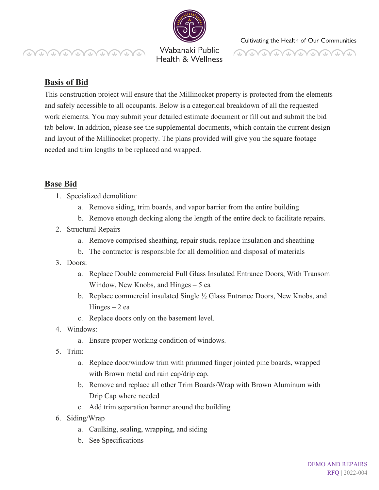**MANDAMMANDAD** 

Wabanaki Public Health & Wellness

# **MUNITUNININININI**

## **Basis of Bid**

This construction project will ensure that the Millinocket property is protected from the elements and safely accessible to all occupants. Below is a categorical breakdown of all the requested work elements. You may submit your detailed estimate document or fill out and submit the bid tab below. In addition, please see the supplemental documents, which contain the current design and layout of the Millinocket property. The plans provided will give you the square footage needed and trim lengths to be replaced and wrapped.

## **Base Bid**

- 1. Specialized demolition:
	- a. Remove siding, trim boards, and vapor barrier from the entire building
	- b. Remove enough decking along the length of the entire deck to facilitate repairs.
- 2. Structural Repairs
	- a. Remove comprised sheathing, repair studs, replace insulation and sheathing
	- b. The contractor is responsible for all demolition and disposal of materials
- 3. Doors:
	- a. Replace Double commercial Full Glass Insulated Entrance Doors, With Transom Window, New Knobs, and Hinges – 5 ea
	- b. Replace commercial insulated Single ½ Glass Entrance Doors, New Knobs, and  $Hinges - 2 ea$
	- c. Replace doors only on the basement level.
- 4. Windows:
	- a. Ensure proper working condition of windows.
- 5. Trim:
	- a. Replace door/window trim with primmed finger jointed pine boards, wrapped with Brown metal and rain cap/drip cap.
	- b. Remove and replace all other Trim Boards/Wrap with Brown Aluminum with Drip Cap where needed
	- c. Add trim separation banner around the building
- 6. Siding/Wrap
	- a. Caulking, sealing, wrapping, and siding
	- b. See Specifications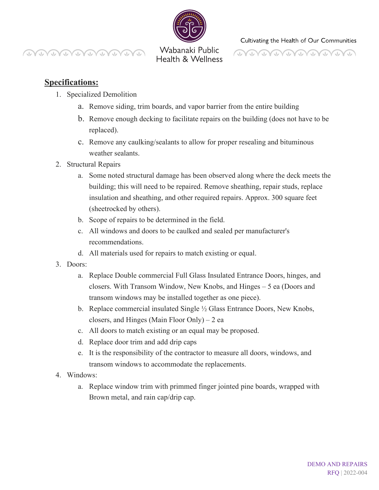

**CONTRACTO** WWW

Wabanaki Public Health & Wellness



### **Specifications:**

- 1. Specialized Demolition
	- a. Remove siding, trim boards, and vapor barrier from the entire building
	- b. Remove enough decking to facilitate repairs on the building (does not have to be replaced).
	- c. Remove any caulking/sealants to allow for proper resealing and bituminous weather sealants.
- 2. Structural Repairs
	- a. Some noted structural damage has been observed along where the deck meets the building; this will need to be repaired. Remove sheathing, repair studs, replace insulation and sheathing, and other required repairs. Approx. 300 square feet (sheetrocked by others).
	- b. Scope of repairs to be determined in the field.
	- c. All windows and doors to be caulked and sealed per manufacturer's recommendations.
	- d. All materials used for repairs to match existing or equal.
- 3. Doors:
	- a. Replace Double commercial Full Glass Insulated Entrance Doors, hinges, and closers. With Transom Window, New Knobs, and Hinges – 5 ea (Doors and transom windows may be installed together as one piece).
	- b. Replace commercial insulated Single ½ Glass Entrance Doors, New Knobs, closers, and Hinges (Main Floor Only) – 2 ea
	- c. All doors to match existing or an equal may be proposed.
	- d. Replace door trim and add drip caps
	- e. It is the responsibility of the contractor to measure all doors, windows, and transom windows to accommodate the replacements.
- 4. Windows:
	- a. Replace window trim with primmed finger jointed pine boards, wrapped with Brown metal, and rain cap/drip cap.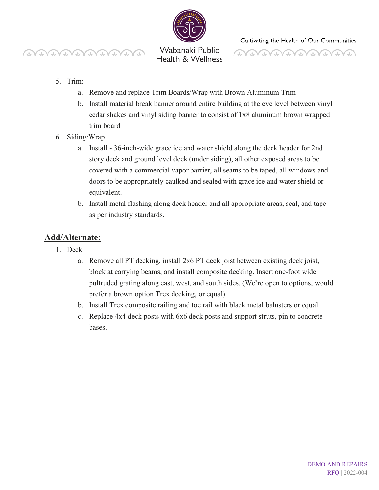



Wabanaki Public Health & Wellness Cultivating the Health of Our Communities

**DONNANDANANA** 

#### 5. Trim:

- a. Remove and replace Trim Boards/Wrap with Brown Aluminum Trim
- b. Install material break banner around entire building at the eve level between vinyl cedar shakes and vinyl siding banner to consist of 1x8 aluminum brown wrapped trim board
- 6. Siding/Wrap
	- a. Install 36-inch-wide grace ice and water shield along the deck header for 2nd story deck and ground level deck (under siding), all other exposed areas to be covered with a commercial vapor barrier, all seams to be taped, all windows and doors to be appropriately caulked and sealed with grace ice and water shield or equivalent.
	- b. Install metal flashing along deck header and all appropriate areas, seal, and tape as per industry standards.

## **Add/Alternate:**

- 1. Deck
	- a. Remove all PT decking, install 2x6 PT deck joist between existing deck joist, block at carrying beams, and install composite decking. Insert one-foot wide pultruded grating along east, west, and south sides. (We're open to options, would prefer a brown option Trex decking, or equal).
	- b. Install Trex composite railing and toe rail with black metal balusters or equal.
	- c. Replace 4x4 deck posts with 6x6 deck posts and support struts, pin to concrete bases.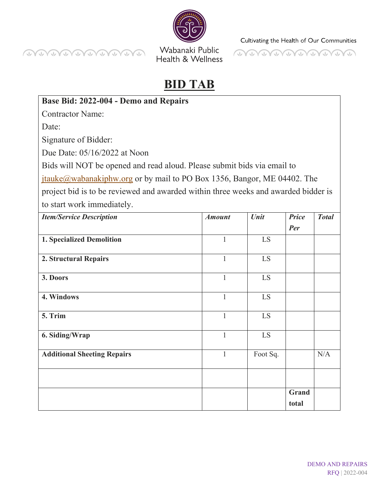



# **BID TAB**

Health & Wellness

## **Base Bid: 2022-004 - Demo and Repairs**

Г.  $\curvearrowright$ 

Contractor Name:

Date:

**CONTRACTALLE** 

Signature of Bidder:

Due Date: 05/16/2022 at Noon

 $\sqrt{2}$ 

Bids will NOT be opened and read aloud. Please submit bids via email to

[jtauke@wabanakiphw.org](mailto:jtauke@wabanakiphw.org) or by mail to PO Box 1356, Bangor, ME 04402. The

project bid is to be reviewed and awarded within three weeks and awarded bidder is to start work immediately.

| <b>Item/Service Description</b>    | <b>Amount</b> | Unit     | <b>Price</b> | <b>Total</b> |
|------------------------------------|---------------|----------|--------------|--------------|
|                                    |               |          | Per          |              |
| 1. Specialized Demolition          | $\mathbf{1}$  | LS       |              |              |
| 2. Structural Repairs              | $\mathbf{1}$  | LS       |              |              |
| 3. Doors                           | $\mathbf{1}$  | LS       |              |              |
| 4. Windows                         | $\mathbf{1}$  | LS       |              |              |
| 5. Trim                            | $\mathbf{1}$  | LS       |              |              |
| 6. Siding/Wrap                     | $\mathbf{1}$  | LS       |              |              |
| <b>Additional Sheeting Repairs</b> | 1             | Foot Sq. |              | N/A          |
|                                    |               |          |              |              |
|                                    |               |          | Grand        |              |
|                                    |               |          | total        |              |